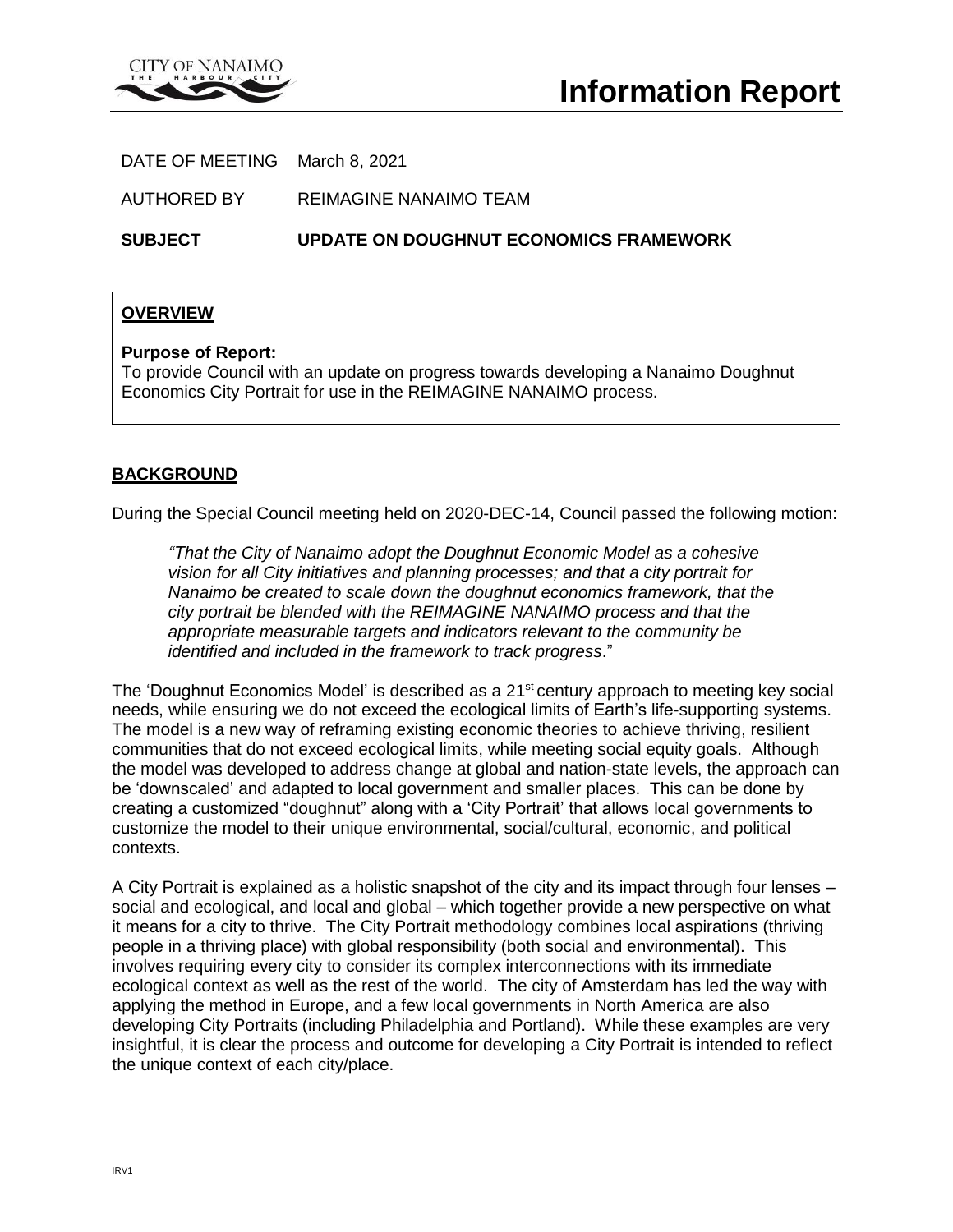

DATE OF MEETING March 8, 2021

AUTHORED BY REIMAGINE NANAIMO TEAM

**SUBJECT UPDATE ON DOUGHNUT ECONOMICS FRAMEWORK**

### **OVERVIEW**

#### **Purpose of Report:**

To provide Council with an update on progress towards developing a Nanaimo Doughnut Economics City Portrait for use in the REIMAGINE NANAIMO process.

### **BACKGROUND**

During the Special Council meeting held on 2020-DEC-14, Council passed the following motion:

*"That the City of Nanaimo adopt the Doughnut Economic Model as a cohesive vision for all City initiatives and planning processes; and that a city portrait for Nanaimo be created to scale down the doughnut economics framework, that the city portrait be blended with the REIMAGINE NANAIMO process and that the appropriate measurable targets and indicators relevant to the community be identified and included in the framework to track progress*."

The 'Doughnut Economics Model' is described as a  $21<sup>st</sup>$  century approach to meeting key social needs, while ensuring we do not exceed the ecological limits of Earth's life-supporting systems. The model is a new way of reframing existing economic theories to achieve thriving, resilient communities that do not exceed ecological limits, while meeting social equity goals. Although the model was developed to address change at global and nation-state levels, the approach can be 'downscaled' and adapted to local government and smaller places. This can be done by creating a customized "doughnut" along with a 'City Portrait' that allows local governments to customize the model to their unique environmental, social/cultural, economic, and political contexts.

A City Portrait is explained as a holistic snapshot of the city and its impact through four lenses – social and ecological, and local and global – which together provide a new perspective on what it means for a city to thrive. The City Portrait methodology combines local aspirations (thriving people in a thriving place) with global responsibility (both social and environmental). This involves requiring every city to consider its complex interconnections with its immediate ecological context as well as the rest of the world. The city of Amsterdam has led the way with applying the method in Europe, and a few local governments in North America are also developing City Portraits (including Philadelphia and Portland). While these examples are very insightful, it is clear the process and outcome for developing a City Portrait is intended to reflect the unique context of each city/place.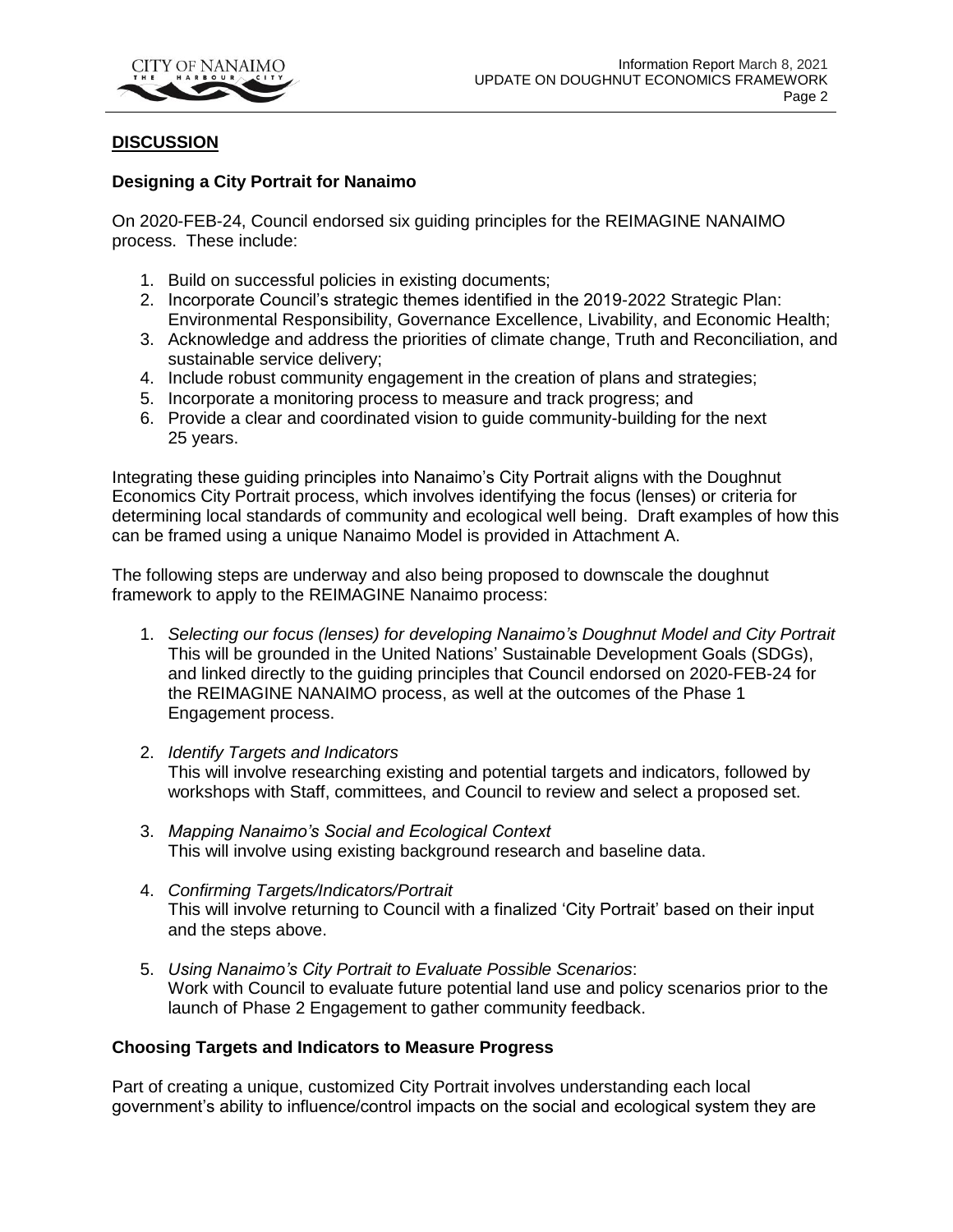

## **DISCUSSION**

#### **Designing a City Portrait for Nanaimo**

On 2020-FEB-24, Council endorsed six guiding principles for the REIMAGINE NANAIMO process. These include:

- 1. Build on successful policies in existing documents;
- 2. Incorporate Council's strategic themes identified in the 2019-2022 Strategic Plan: Environmental Responsibility, Governance Excellence, Livability, and Economic Health;
- 3. Acknowledge and address the priorities of climate change, Truth and Reconciliation, and sustainable service delivery;
- 4. Include robust community engagement in the creation of plans and strategies;
- 5. Incorporate a monitoring process to measure and track progress; and
- 6. Provide a clear and coordinated vision to guide community-building for the next 25 years.

Integrating these guiding principles into Nanaimo's City Portrait aligns with the Doughnut Economics City Portrait process, which involves identifying the focus (lenses) or criteria for determining local standards of community and ecological well being. Draft examples of how this can be framed using a unique Nanaimo Model is provided in Attachment A.

The following steps are underway and also being proposed to downscale the doughnut framework to apply to the REIMAGINE Nanaimo process:

- 1. *Selecting our focus (lenses) for developing Nanaimo's Doughnut Model and City Portrait* This will be grounded in the United Nations' Sustainable Development Goals (SDGs), and linked directly to the guiding principles that Council endorsed on 2020-FEB-24 for the REIMAGINE NANAIMO process, as well at the outcomes of the Phase 1 Engagement process.
- 2. *Identify Targets and Indicators* This will involve researching existing and potential targets and indicators, followed by workshops with Staff, committees, and Council to review and select a proposed set.
- 3. *Mapping Nanaimo's Social and Ecological Context* This will involve using existing background research and baseline data.
- 4. *Confirming Targets/Indicators/Portrait* This will involve returning to Council with a finalized 'City Portrait' based on their input and the steps above.
- 5. *Using Nanaimo's City Portrait to Evaluate Possible Scenarios*: Work with Council to evaluate future potential land use and policy scenarios prior to the launch of Phase 2 Engagement to gather community feedback.

## **Choosing Targets and Indicators to Measure Progress**

Part of creating a unique, customized City Portrait involves understanding each local government's ability to influence/control impacts on the social and ecological system they are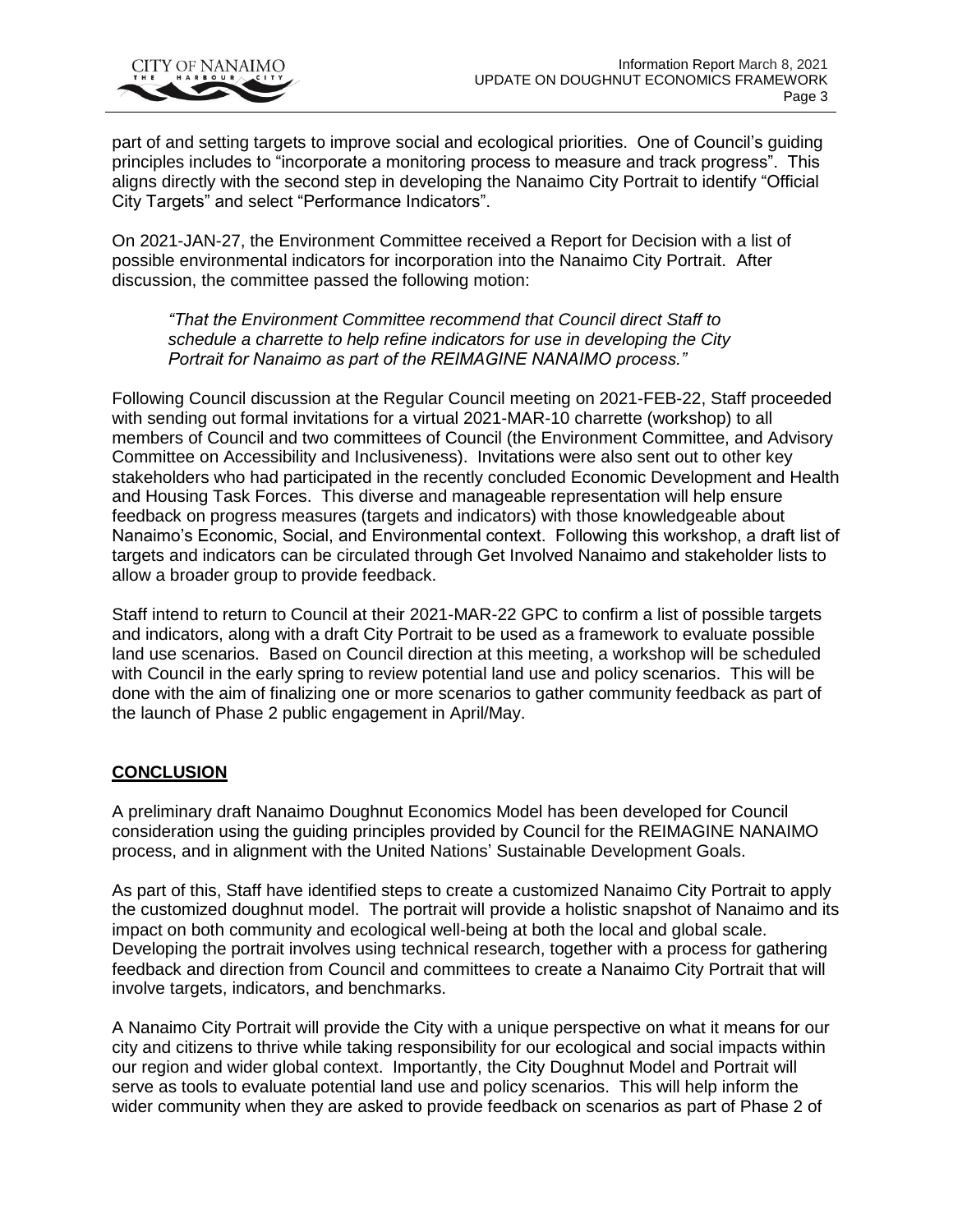

part of and setting targets to improve social and ecological priorities. One of Council's guiding principles includes to "incorporate a monitoring process to measure and track progress". This aligns directly with the second step in developing the Nanaimo City Portrait to identify "Official City Targets" and select "Performance Indicators".

On 2021-JAN-27, the Environment Committee received a Report for Decision with a list of possible environmental indicators for incorporation into the Nanaimo City Portrait. After discussion, the committee passed the following motion:

*"That the Environment Committee recommend that Council direct Staff to schedule a charrette to help refine indicators for use in developing the City Portrait for Nanaimo as part of the REIMAGINE NANAIMO process."*

Following Council discussion at the Regular Council meeting on 2021-FEB-22, Staff proceeded with sending out formal invitations for a virtual 2021-MAR-10 charrette (workshop) to all members of Council and two committees of Council (the Environment Committee, and Advisory Committee on Accessibility and Inclusiveness). Invitations were also sent out to other key stakeholders who had participated in the recently concluded Economic Development and Health and Housing Task Forces. This diverse and manageable representation will help ensure feedback on progress measures (targets and indicators) with those knowledgeable about Nanaimo's Economic, Social, and Environmental context. Following this workshop, a draft list of targets and indicators can be circulated through Get Involved Nanaimo and stakeholder lists to allow a broader group to provide feedback.

Staff intend to return to Council at their 2021-MAR-22 GPC to confirm a list of possible targets and indicators, along with a draft City Portrait to be used as a framework to evaluate possible land use scenarios. Based on Council direction at this meeting, a workshop will be scheduled with Council in the early spring to review potential land use and policy scenarios. This will be done with the aim of finalizing one or more scenarios to gather community feedback as part of the launch of Phase 2 public engagement in April/May.

## **CONCLUSION**

A preliminary draft Nanaimo Doughnut Economics Model has been developed for Council consideration using the guiding principles provided by Council for the REIMAGINE NANAIMO process, and in alignment with the United Nations' Sustainable Development Goals.

As part of this, Staff have identified steps to create a customized Nanaimo City Portrait to apply the customized doughnut model. The portrait will provide a holistic snapshot of Nanaimo and its impact on both community and ecological well-being at both the local and global scale. Developing the portrait involves using technical research, together with a process for gathering feedback and direction from Council and committees to create a Nanaimo City Portrait that will involve targets, indicators, and benchmarks.

A Nanaimo City Portrait will provide the City with a unique perspective on what it means for our city and citizens to thrive while taking responsibility for our ecological and social impacts within our region and wider global context. Importantly, the City Doughnut Model and Portrait will serve as tools to evaluate potential land use and policy scenarios. This will help inform the wider community when they are asked to provide feedback on scenarios as part of Phase 2 of